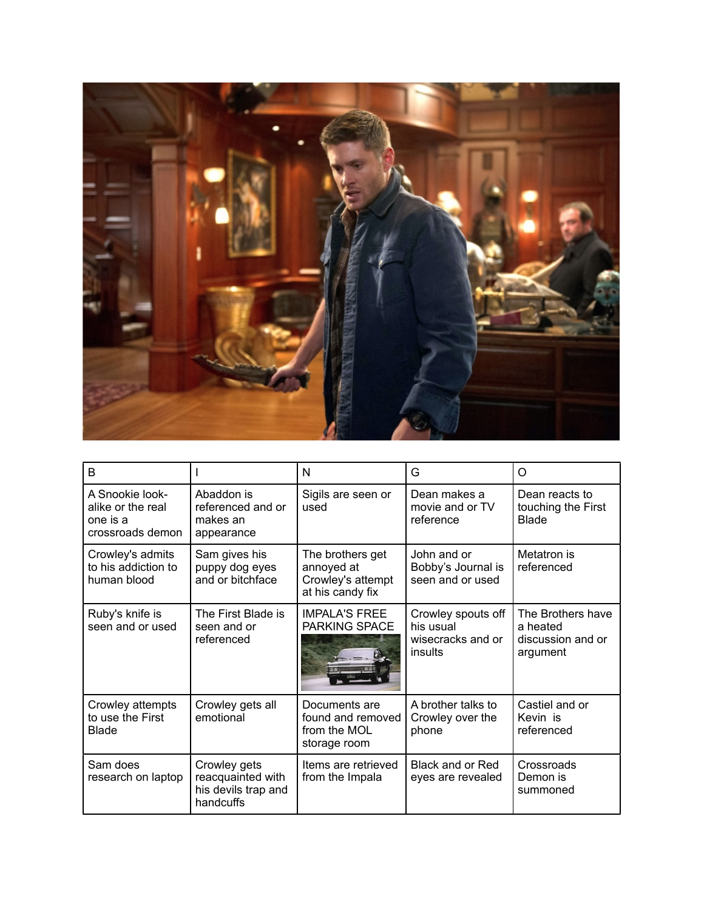

| B                                                                    |                                                                       | N                                                                       | G                                                               | O                                                              |
|----------------------------------------------------------------------|-----------------------------------------------------------------------|-------------------------------------------------------------------------|-----------------------------------------------------------------|----------------------------------------------------------------|
| A Snookie look-<br>alike or the real<br>one is a<br>crossroads demon | Abaddon is<br>referenced and or<br>makes an<br>appearance             | Sigils are seen or<br>used                                              | Dean makes a<br>movie and or TV<br>reference                    | Dean reacts to<br>touching the First<br><b>Blade</b>           |
| Crowley's admits<br>to his addiction to<br>human blood               | Sam gives his<br>puppy dog eyes<br>and or bitchface                   | The brothers get<br>annoyed at<br>Crowley's attempt<br>at his candy fix | John and or<br>Bobby's Journal is<br>seen and or used           | Metatron is<br>referenced                                      |
| Ruby's knife is<br>seen and or used                                  | The First Blade is<br>seen and or<br>referenced                       | <b>IMPALA'S FREE</b><br>PARKING SPACE                                   | Crowley spouts off<br>his usual<br>wisecracks and or<br>insults | The Brothers have<br>a heated<br>discussion and or<br>argument |
| Crowley attempts<br>to use the First<br><b>Blade</b>                 | Crowley gets all<br>emotional                                         | Documents are<br>found and removed<br>from the MOL<br>storage room      | A brother talks to<br>Crowley over the<br>phone                 | Castiel and or<br>Kevin is<br>referenced                       |
| Sam does<br>research on laptop                                       | Crowley gets<br>reacquainted with<br>his devils trap and<br>handcuffs | Items are retrieved<br>from the Impala                                  | Black and or Red<br>eyes are revealed                           | Crossroads<br>Demon is<br>summoned                             |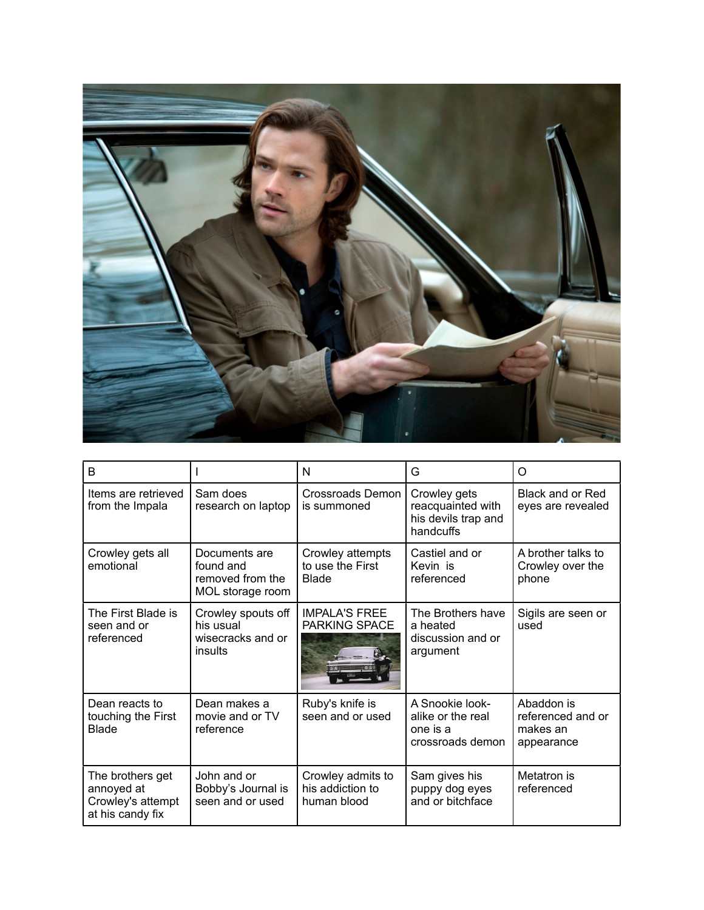

| B                                                                       |                                                                    | N                                                    | G                                                                     | O                                                         |
|-------------------------------------------------------------------------|--------------------------------------------------------------------|------------------------------------------------------|-----------------------------------------------------------------------|-----------------------------------------------------------|
| Items are retrieved<br>from the Impala                                  | Sam does<br>research on laptop                                     | Crossroads Demon<br>is summoned                      | Crowley gets<br>reacquainted with<br>his devils trap and<br>handcuffs | Black and or Red<br>eyes are revealed                     |
| Crowley gets all<br>emotional                                           | Documents are<br>found and<br>removed from the<br>MOL storage room | Crowley attempts<br>to use the First<br><b>Blade</b> | Castiel and or<br>Kevin is<br>referenced                              | A brother talks to<br>Crowley over the<br>phone           |
| The First Blade is<br>seen and or<br>referenced                         | Crowley spouts off<br>his usual<br>wisecracks and or<br>insults    | <b>IMPALA'S FREE</b><br><b>PARKING SPACE</b>         | The Brothers have<br>a heated<br>discussion and or<br>argument        | Sigils are seen or<br>used                                |
| Dean reacts to<br>touching the First<br><b>Blade</b>                    | Dean makes a<br>movie and or TV<br>reference                       | Ruby's knife is<br>seen and or used                  | A Snookie look-<br>alike or the real<br>one is a<br>crossroads demon  | Abaddon is<br>referenced and or<br>makes an<br>appearance |
| The brothers get<br>annoyed at<br>Crowley's attempt<br>at his candy fix | John and or<br>Bobby's Journal is<br>seen and or used              | Crowley admits to<br>his addiction to<br>human blood | Sam gives his<br>puppy dog eyes<br>and or bitchface                   | Metatron is<br>referenced                                 |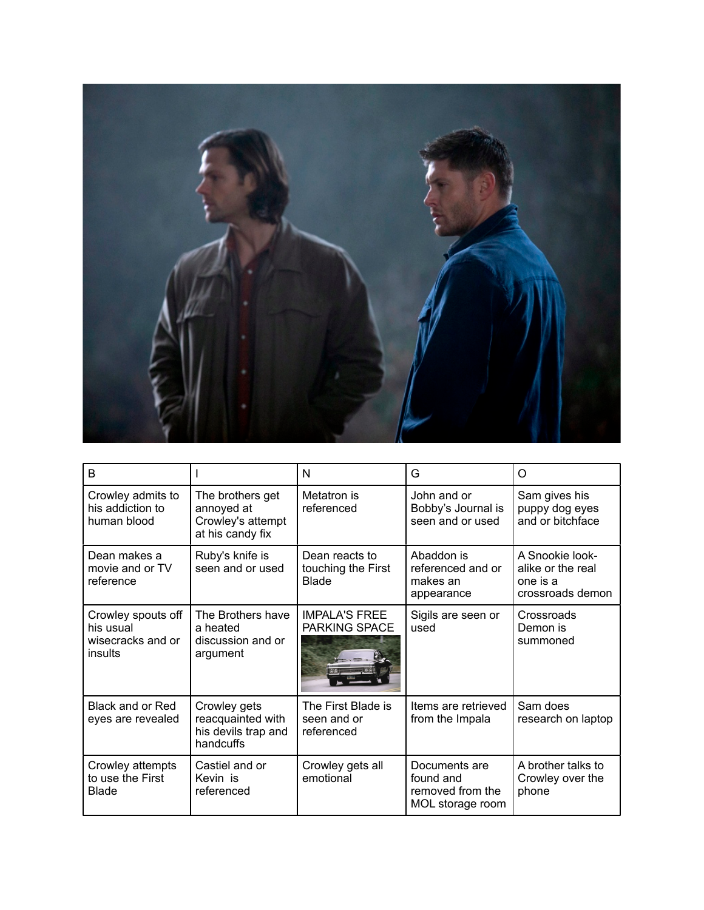

| B                                                               |                                                                         | N                                                    | G                                                                  | O                                                                    |
|-----------------------------------------------------------------|-------------------------------------------------------------------------|------------------------------------------------------|--------------------------------------------------------------------|----------------------------------------------------------------------|
| Crowley admits to<br>his addiction to<br>human blood            | The brothers get<br>annoyed at<br>Crowley's attempt<br>at his candy fix | Metatron is<br>referenced                            | John and or<br>Bobby's Journal is<br>seen and or used              | Sam gives his<br>puppy dog eyes<br>and or bitchface                  |
| Dean makes a<br>movie and or TV<br>reference                    | Ruby's knife is<br>seen and or used                                     | Dean reacts to<br>touching the First<br><b>Blade</b> | Abaddon is<br>referenced and or<br>makes an<br>appearance          | A Snookie look-<br>alike or the real<br>one is a<br>crossroads demon |
| Crowley spouts off<br>his usual<br>wisecracks and or<br>insults | The Brothers have<br>a heated<br>discussion and or<br>argument          | <b>IMPALA'S FREE</b><br>PARKING SPACE                | Sigils are seen or<br>used                                         | Crossroads<br>Demon is<br>summoned                                   |
| Black and or Red<br>eyes are revealed                           | Crowley gets<br>reacquainted with<br>his devils trap and<br>handcuffs   | The First Blade is<br>seen and or<br>referenced      | Items are retrieved<br>from the Impala                             | Sam does<br>research on laptop                                       |
| Crowley attempts<br>to use the First<br>Blade                   | Castiel and or<br>Kevin is<br>referenced                                | Crowley gets all<br>emotional                        | Documents are<br>found and<br>removed from the<br>MOL storage room | A brother talks to<br>Crowley over the<br>phone                      |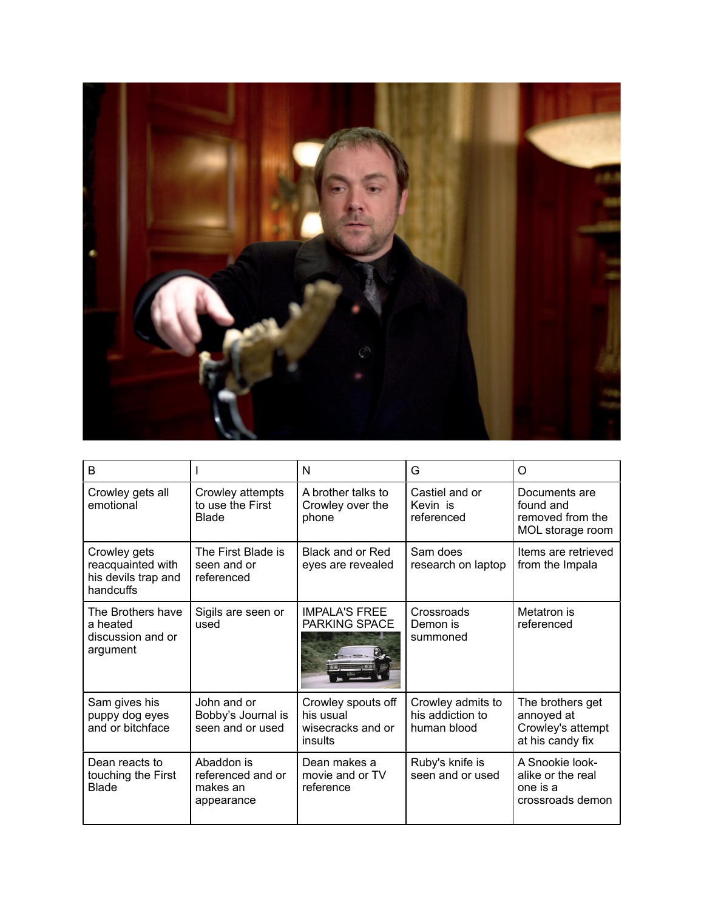

| B                                                                     |                                                           | N                                                               | G                                                    | Ω                                                                       |
|-----------------------------------------------------------------------|-----------------------------------------------------------|-----------------------------------------------------------------|------------------------------------------------------|-------------------------------------------------------------------------|
| Crowley gets all<br>emotional                                         | Crowley attempts<br>to use the First<br><b>Blade</b>      | A brother talks to<br>Crowley over the<br>phone                 | Castiel and or<br>Kevin is<br>referenced             | Documents are<br>found and<br>removed from the<br>MOL storage room      |
| Crowley gets<br>reacquainted with<br>his devils trap and<br>handcuffs | The First Blade is<br>seen and or<br>referenced           | Black and or Red<br>eyes are revealed                           | Sam does<br>research on laptop                       | Items are retrieved<br>from the Impala                                  |
| The Brothers have<br>a heated<br>discussion and or<br>argument        | Sigils are seen or<br>used                                | <b>IMPALA'S FREE</b><br>PARKING SPACE                           | Crossroads<br>Demon is<br>summoned                   | Metatron is<br>referenced                                               |
| Sam gives his<br>puppy dog eyes<br>and or bitchface                   | John and or<br>Bobby's Journal is<br>seen and or used     | Crowley spouts off<br>his usual<br>wisecracks and or<br>insults | Crowley admits to<br>his addiction to<br>human blood | The brothers get<br>annoyed at<br>Crowley's attempt<br>at his candy fix |
| Dean reacts to<br>touching the First<br><b>Blade</b>                  | Abaddon is<br>referenced and or<br>makes an<br>appearance | Dean makes a<br>movie and or TV<br>reference                    | Ruby's knife is<br>seen and or used                  | A Snookie look-<br>alike or the real<br>one is a<br>crossroads demon    |